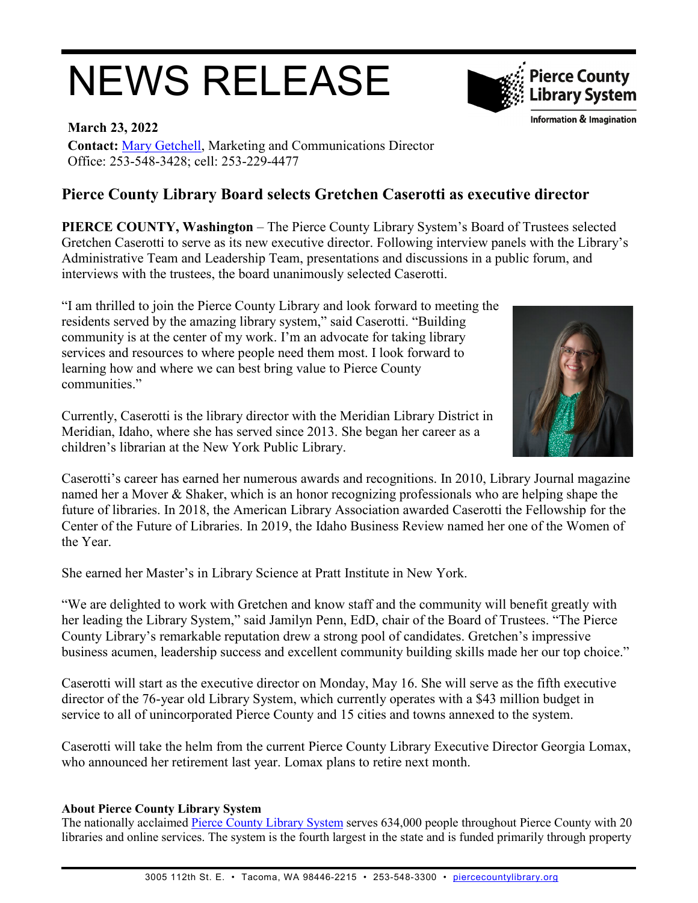## NEWS RELEASE



**Information & Imagination** 

**March 23, 2022 Contact:** [Mary Getchell,](mailto:mgetchell@piercecountylibrary.org) Marketing and Communications Director Office: 253-548-3428; cell: 253-229-4477

## **Pierce County Library Board selects Gretchen Caserotti as executive director**

**PIERCE COUNTY, Washington** – The Pierce County Library System's Board of Trustees selected Gretchen Caserotti to serve as its new executive director. Following interview panels with the Library's Administrative Team and Leadership Team, presentations and discussions in a public forum, and interviews with the trustees, the board unanimously selected Caserotti.

"I am thrilled to join the Pierce County Library and look forward to meeting the residents served by the amazing library system," said Caserotti. "Building community is at the center of my work. I'm an advocate for taking library services and resources to where people need them most. I look forward to learning how and where we can best bring value to Pierce County communities."

Currently, Caserotti is the library director with the Meridian Library District in Meridian, Idaho, where she has served since 2013. She began her career as a children's librarian at the New York Public Library.



Caserotti's career has earned her numerous awards and recognitions. In 2010, Library Journal magazine named her a Mover & Shaker, which is an honor recognizing professionals who are helping shape the future of libraries. In 2018, the American Library Association awarded Caserotti the Fellowship for the Center of the Future of Libraries. In 2019, the Idaho Business Review named her one of the Women of the Year.

She earned her Master's in Library Science at Pratt Institute in New York.

"We are delighted to work with Gretchen and know staff and the community will benefit greatly with her leading the Library System," said Jamilyn Penn, EdD, chair of the Board of Trustees. "The Pierce County Library's remarkable reputation drew a strong pool of candidates. Gretchen's impressive business acumen, leadership success and excellent community building skills made her our top choice."

Caserotti will start as the executive director on Monday, May 16. She will serve as the fifth executive director of the 76-year old Library System, which currently operates with a \$43 million budget in service to all of unincorporated Pierce County and 15 cities and towns annexed to the system.

Caserotti will take the helm from the current Pierce County Library Executive Director Georgia Lomax, who announced her retirement last year. Lomax plans to retire next month.

## **About Pierce County Library System**

The nationally acclaimed [Pierce County Library System](http://www.piercecountylibrary.org/) serves 634,000 people throughout Pierce County with 20 libraries and online services. The system is the fourth largest in the state and is funded primarily through property